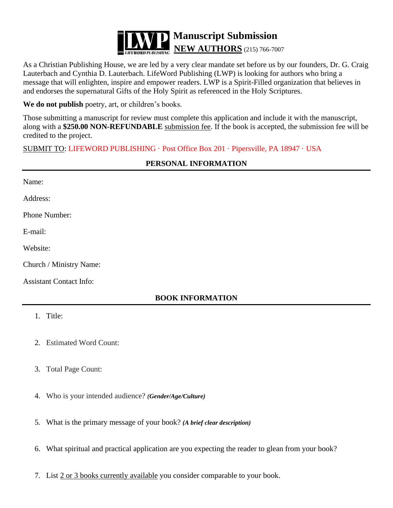

As a Christian Publishing House, we are led by a very clear mandate set before us by our founders, Dr. G. Craig Lauterbach and Cynthia D. Lauterbach. LifeWord Publishing (LWP) is looking for authors who bring a message that will enlighten, inspire and empower readers. LWP is a Spirit-Filled organization that believes in and endorses the supernatural Gifts of the Holy Spirit as referenced in the Holy Scriptures.

**We do not publish** poetry, art, or children's books.

Those submitting a manuscript for review must complete this application and include it with the manuscript, along with a **\$250.00 NON-REFUNDABLE** submission fee. If the book is accepted, the submission fee will be credited to the project.

**PERSONAL INFORMATION**

SUBMIT TO: LIFEWORD PUBLISHING · Post Office Box 201 · Pipersville, PA 18947 · USA

| Name:                          |  |
|--------------------------------|--|
| Address:                       |  |
| Phone Number:                  |  |
| E-mail:                        |  |
| Website:                       |  |
| Church / Ministry Name:        |  |
| <b>Assistant Contact Info:</b> |  |
| <b>BOOK INFORMATION</b>        |  |

- 
- 1. Title:
- 2. Estimated Word Count:
- 3. Total Page Count:
- 4. Who is your intended audience? *(Gender/Age/Culture)*
- 5. What is the primary message of your book? *(A brief clear description)*
- 6. What spiritual and practical application are you expecting the reader to glean from your book?
- 7. List 2 or 3 books currently available you consider comparable to your book.